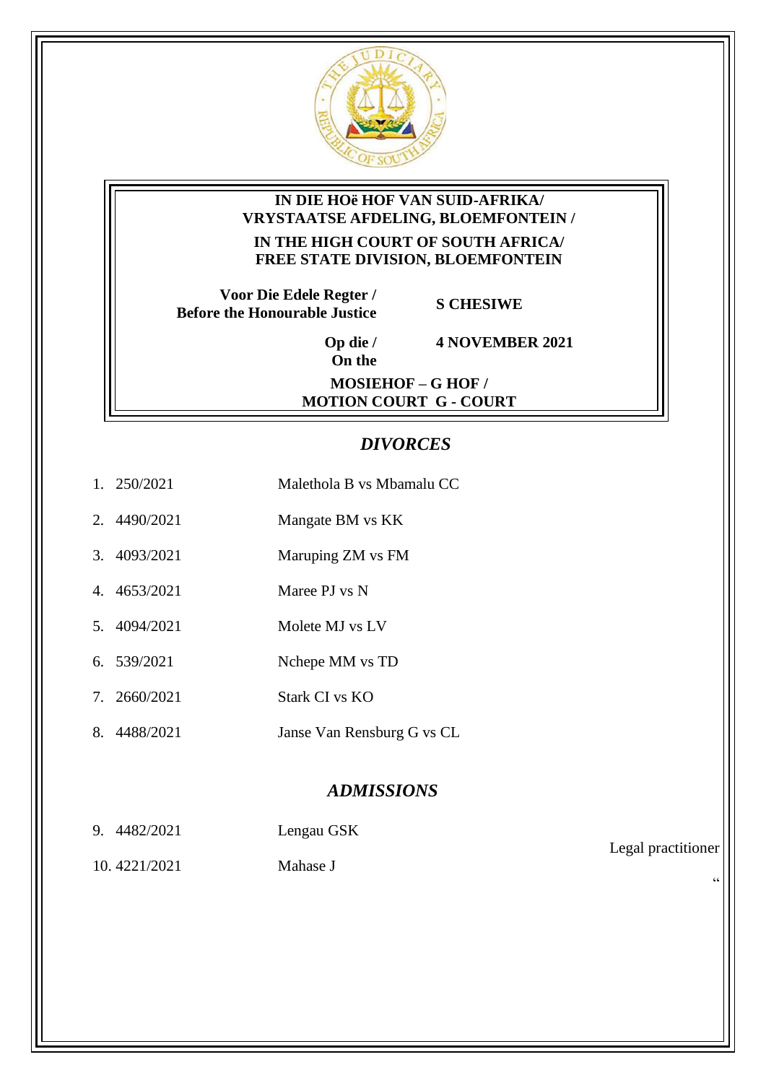

### IN DIE HOë HOF VAN SUID-AFRIKA/ **VRYSTAATSE AFDELING, BLOEMFONTEIN /**

IN THE HIGH COURT OF SOUTH AFRICA/ FREE STATE DIVISION, BLOEMFONTEIN

Voor Die Edele Regter / **Before the Honourable Justice** 

**S CHESIWE** 

Op die /  $\overline{On}$  the

**4 NOVEMBER 2021** 

**MOSIEHOF - G HOF / MOTION COURT G - COURT** 

### **DIVORCES**

- Malethola B vs Mbamalu CC 1. 250/2021
- 2. 4490/2021 Mangate BM vs KK
- 3. 4093/2021 Maruping ZM vs FM
- Maree PJ vs N 4. 4653/2021
- 5. 4094/2021 Molete MJ vs LV
- 6. 539/2021 Nchepe MM vs TD
- Stark CI vs KO 7. 2660/2021
- 8. 4488/2021 Janse Van Rensburg G vs CL

#### **ADMISSIONS**

- 9. 4482/2021 Lengau GSK
- Mahase J 10.4221/2021

Legal practitioner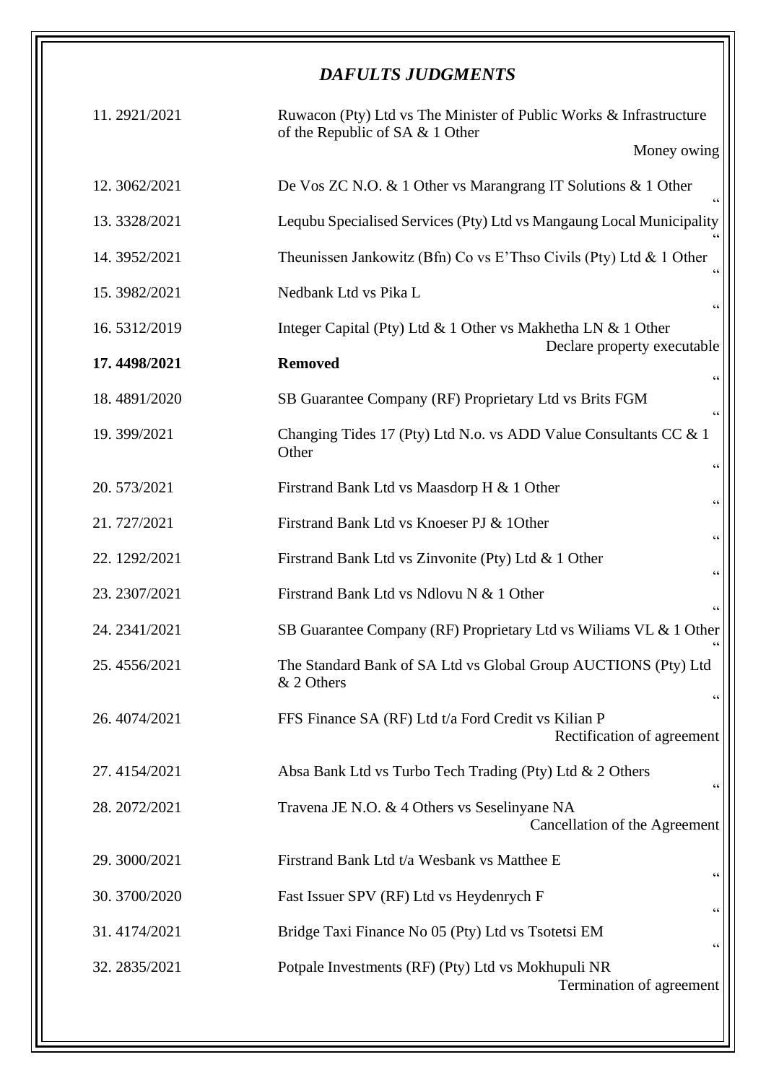# *DAFULTS JUDGMENTS*

| 11.2921/2021  | Ruwacon (Pty) Ltd vs The Minister of Public Works & Infrastructure<br>of the Republic of SA & 1 Other                   |
|---------------|-------------------------------------------------------------------------------------------------------------------------|
|               | Money owing                                                                                                             |
| 12.3062/2021  | De Vos ZC N.O. & 1 Other vs Marangrang IT Solutions & 1 Other                                                           |
| 13.3328/2021  | Lequbu Specialised Services (Pty) Ltd vs Mangaung Local Municipality                                                    |
| 14.3952/2021  | The unissen Jankowitz (Bfn) Co vs E'Thso Civils (Pty) Ltd & 1 Other                                                     |
| 15.3982/2021  | Nedbank Ltd vs Pika L                                                                                                   |
| 16.5312/2019  | Integer Capital (Pty) Ltd & 1 Other vs Makhetha LN & 1 Other<br>Declare property executable                             |
| 17.4498/2021  | <b>Removed</b><br>$\mbox{\bf G}$                                                                                        |
| 18.4891/2020  | SB Guarantee Company (RF) Proprietary Ltd vs Brits FGM<br>66                                                            |
| 19.399/2021   | Changing Tides 17 (Pty) Ltd N.o. vs ADD Value Consultants CC & 1<br>Other<br>$\!\!\!\zeta\,\zeta\!\!\!\zeta\!\!\!\zeta$ |
| 20.573/2021   | Firstrand Bank Ltd vs Maasdorp H & 1 Other<br>$\zeta\,\zeta$                                                            |
| 21.727/2021   | Firstrand Bank Ltd vs Knoeser PJ & 10ther<br>$\!\!\!\zeta\,\zeta\!\!\!\zeta\!\!\!\zeta\!\!\!\zeta$                      |
| 22.1292/2021  | Firstrand Bank Ltd vs Zinvonite (Pty) Ltd & 1 Other<br>66                                                               |
| 23. 2307/2021 | Firstrand Bank Ltd vs Ndlovu N & 1 Other<br>$\mbox{\bf G}$                                                              |
| 24.2341/2021  | SB Guarantee Company (RF) Proprietary Ltd vs Wiliams VL & 1 Other                                                       |
| 25.4556/2021  | The Standard Bank of SA Ltd vs Global Group AUCTIONS (Pty) Ltd<br>& 2 Others<br>$\textsf{G}\,\textsf{G}$                |
| 26.4074/2021  | FFS Finance SA (RF) Ltd t/a Ford Credit vs Kilian P<br>Rectification of agreement                                       |
| 27.4154/2021  | Absa Bank Ltd vs Turbo Tech Trading (Pty) Ltd & 2 Others<br>66                                                          |
| 28. 2072/2021 | Travena JE N.O. & 4 Others vs Seselinyane NA<br>Cancellation of the Agreement                                           |
| 29.3000/2021  | Firstrand Bank Ltd t/a Wesbank vs Matthee E<br>66                                                                       |
| 30.3700/2020  | Fast Issuer SPV (RF) Ltd vs Heydenrych F<br>$\zeta\,\zeta$                                                              |
| 31.4174/2021  | Bridge Taxi Finance No 05 (Pty) Ltd vs Tsotetsi EM<br>$\zeta\,\zeta$                                                    |
| 32. 2835/2021 | Potpale Investments (RF) (Pty) Ltd vs Mokhupuli NR<br>Termination of agreement                                          |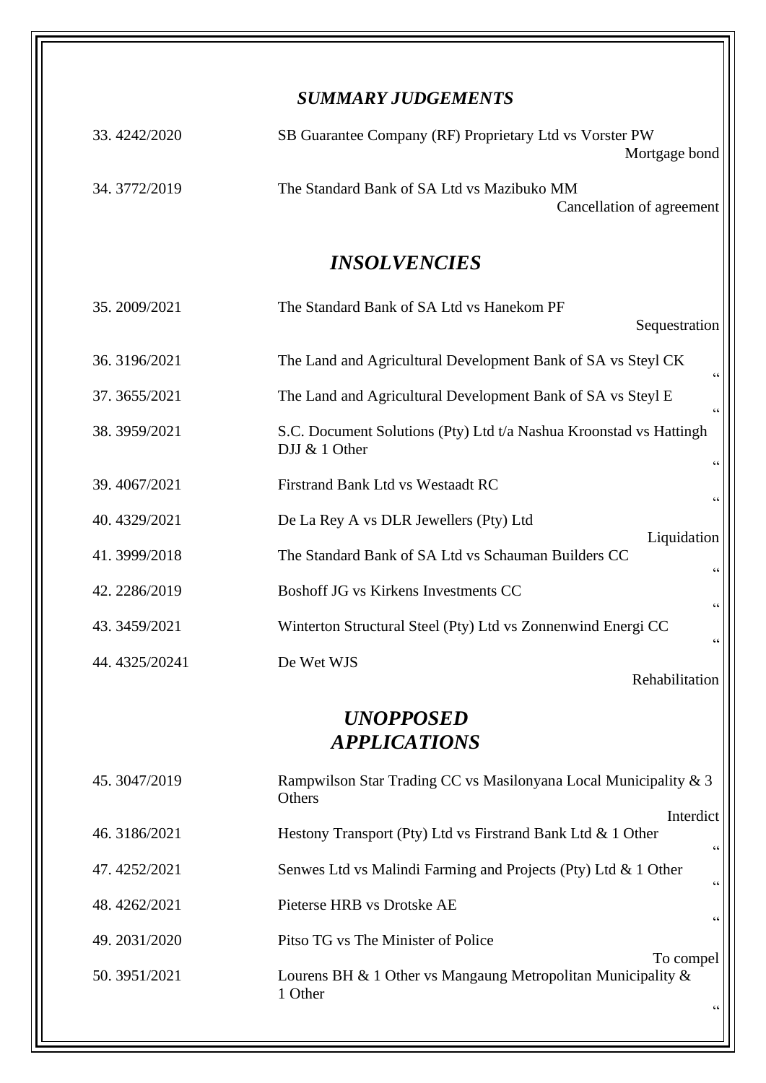## *SUMMARY JUDGEMENTS*

| 33.4242/2020            | SB Guarantee Company (RF) Proprietary Ltd vs Vorster PW<br>Mortgage bond                                                          |  |
|-------------------------|-----------------------------------------------------------------------------------------------------------------------------------|--|
| 34.3772/2019            | The Standard Bank of SA Ltd vs Mazibuko MM<br>Cancellation of agreement                                                           |  |
| <b>INSOLVENCIES</b>     |                                                                                                                                   |  |
| 35.2009/2021            | The Standard Bank of SA Ltd vs Hanekom PF<br>Sequestration                                                                        |  |
| 36.3196/2021            | The Land and Agricultural Development Bank of SA vs Steyl CK<br>$\boldsymbol{\varsigma}$ $\boldsymbol{\varsigma}$                 |  |
| 37.3655/2021            | The Land and Agricultural Development Bank of SA vs Steyl E<br>$\mbox{\bf G}$                                                     |  |
| 38.3959/2021            | S.C. Document Solutions (Pty) Ltd t/a Nashua Kroonstad vs Hattingh<br>DJJ & 1 Other<br>$\!\!\!\zeta\,\zeta\!\!\!\zeta\!\!\!\zeta$ |  |
| 39.4067/2021            | Firstrand Bank Ltd vs Westaadt RC                                                                                                 |  |
| 40.4329/2021            | De La Rey A vs DLR Jewellers (Pty) Ltd                                                                                            |  |
| 41.3999/2018            | Liquidation<br>The Standard Bank of SA Ltd vs Schauman Builders CC<br>$\mbox{\bf G}$                                              |  |
| 42.2286/2019            | Boshoff JG vs Kirkens Investments CC<br>$\!\!\!\zeta\,\zeta\!\!\!\zeta\!\!\!\zeta$                                                |  |
| 43.3459/2021            | Winterton Structural Steel (Pty) Ltd vs Zonnenwind Energi CC<br>$\zeta\,\zeta$                                                    |  |
| 44.4325/20241           | De Wet WJS<br>Rehabilitation                                                                                                      |  |
| <i><b>UNOPPOSED</b></i> |                                                                                                                                   |  |
| <b>APPLICATIONS</b>     |                                                                                                                                   |  |
| 45.3047/2019            | Rampwilson Star Trading CC vs Masilonyana Local Municipality & 3<br>Others<br>Interdict                                           |  |
| 46.3186/2021            | Hestony Transport (Pty) Ltd vs Firstrand Bank Ltd & 1 Other<br>$\!\!\!\zeta\,\zeta\!\!\!\zeta\!\!\!\zeta$                         |  |
| 47.4252/2021            | Senwes Ltd vs Malindi Farming and Projects (Pty) Ltd & 1 Other<br>$\zeta$ $\zeta$                                                 |  |
| 48.4262/2021            | Pieterse HRB vs Drotske AE<br>66                                                                                                  |  |
| 49.2031/2020            | Pitso TG vs The Minister of Police                                                                                                |  |
| 50.3951/2021            | To compel<br>Lourens BH $\&$ 1 Other vs Mangaung Metropolitan Municipality $\&$<br>1 Other<br>66                                  |  |